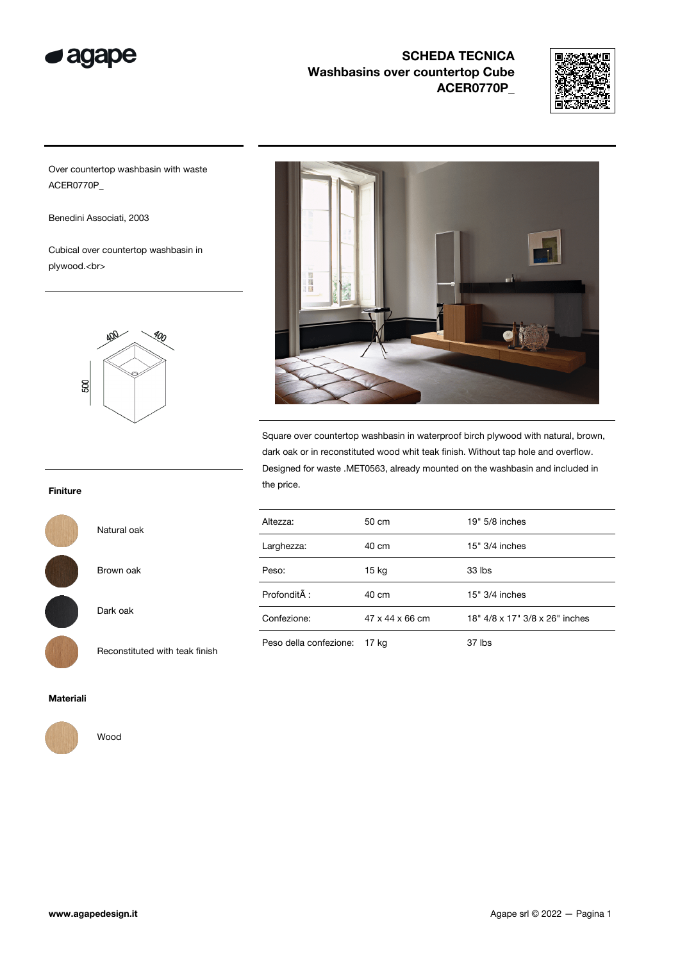



Over countertop washbasin with waste ACER0770P\_

Benedini Associati, 2003

Cubical over countertop washbasin in plywood.<br>





Square over countertop washbasin in waterproof birch plywood with natural, brown, dark oak or in reconstituted wood whit teak finish. Without tap hole and overflow. Designed for waste .MET0563, already mounted on the washbasin and included in the price.

| Altezza:               | 50 cm                       | $19" 5/8$ inches               |
|------------------------|-----------------------------|--------------------------------|
| Larghezza:             | 40 cm                       | $15" 3/4$ inches               |
| Peso:                  | 15 kg                       | 33 lbs                         |
| ProfonditĂ:            | 40 cm                       | $15" 3/4$ inches               |
| Confezione:            | $47 \times 44 \times 66$ cm | 18" 4/8 x 17" 3/8 x 26" inches |
| Peso della confezione: | 17 ka                       | $37$ lbs                       |

#### Finiture

Natural oak

Brown oak

Dark oak

Reconstituted with teak finish



Materiali



Wood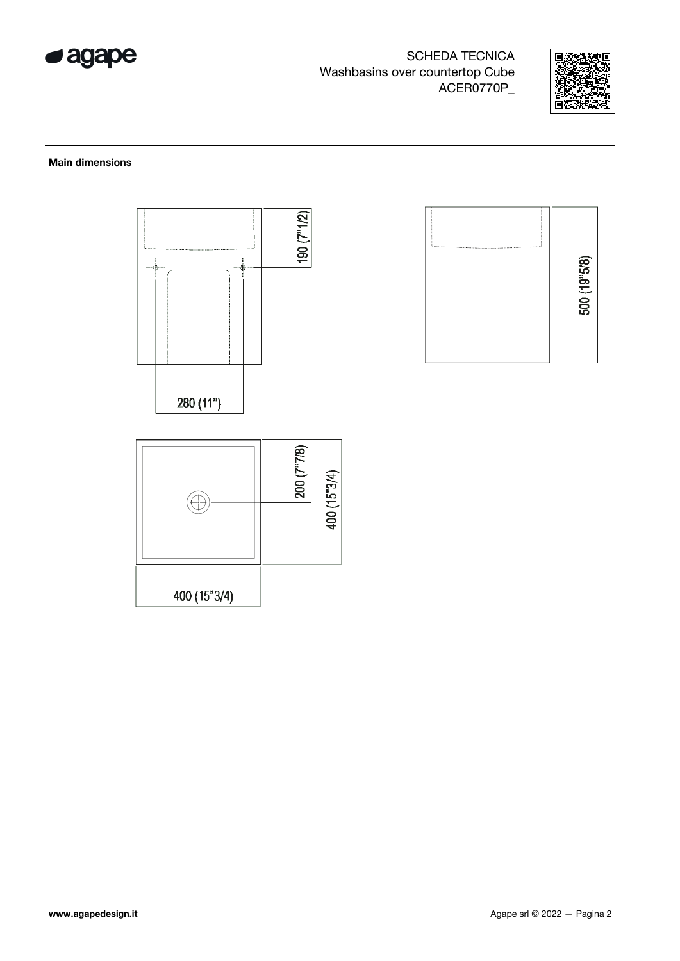



### Main dimensions





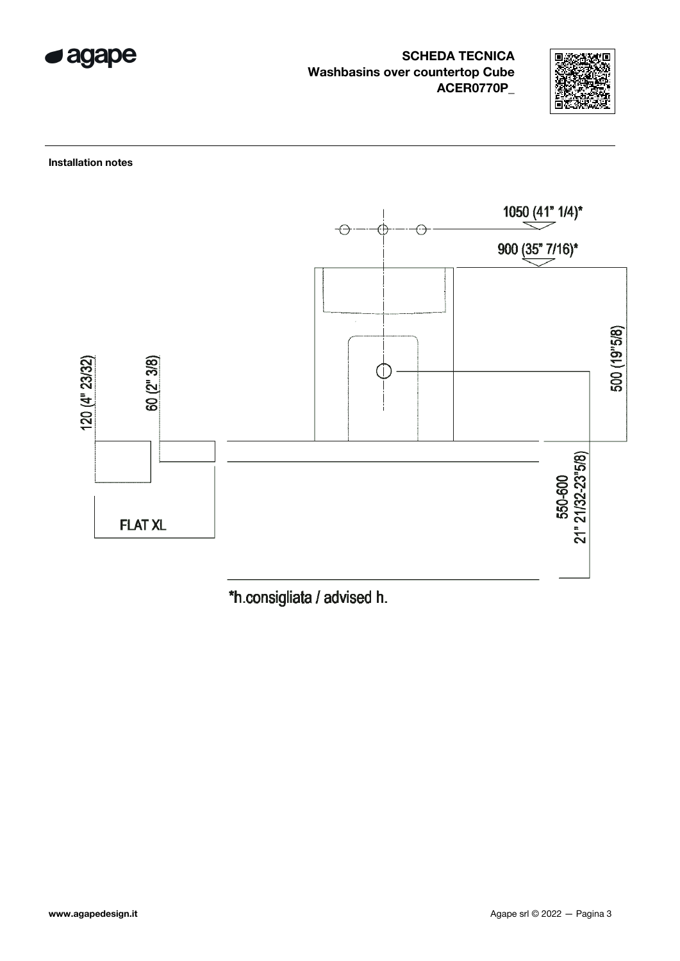



Installation notes



\*h.consigliata / advised h.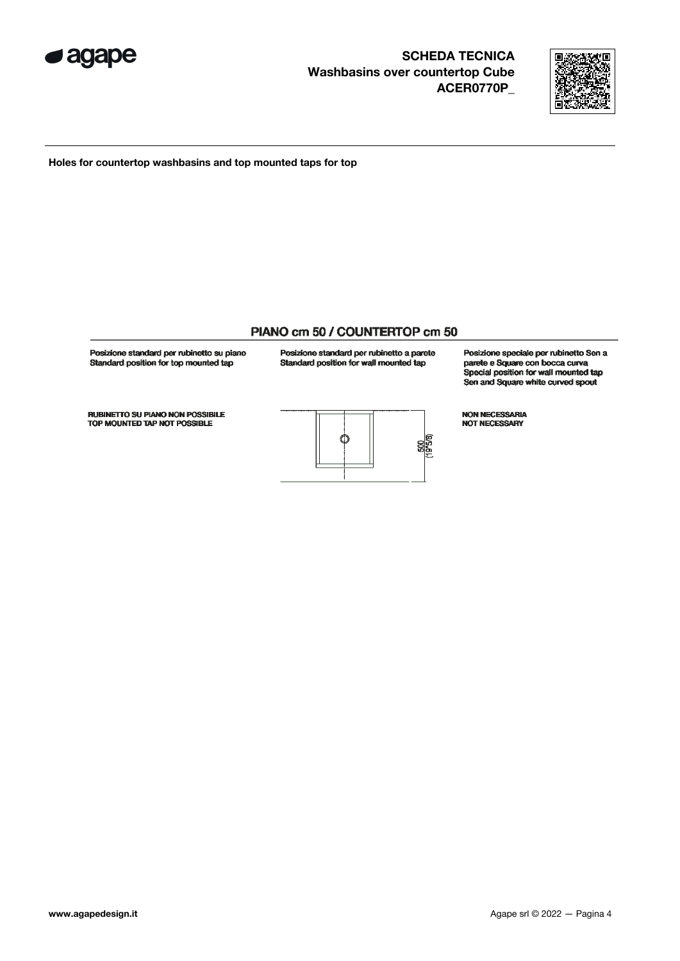



Holes for countertop washbasins and top mounted taps for top

### PIANO cm 50 / COUNTERTOP cm 50

Posizione standard per rubinetto su piano Standard position for top mounted tap

Posizione standard per rubinetto a parete Standard position for wall mounted tap

Posizione speciale per rubinetto Sen a parete e Square con bocca curva Special position for wall mounted tap Sen and Square white curved spout

NON NECESSARIA NOT NECESSARY

**RUBINETTO SU PIANO NON POSSIBILE** TOP MOUNTED TAP NOT POSSIBLE

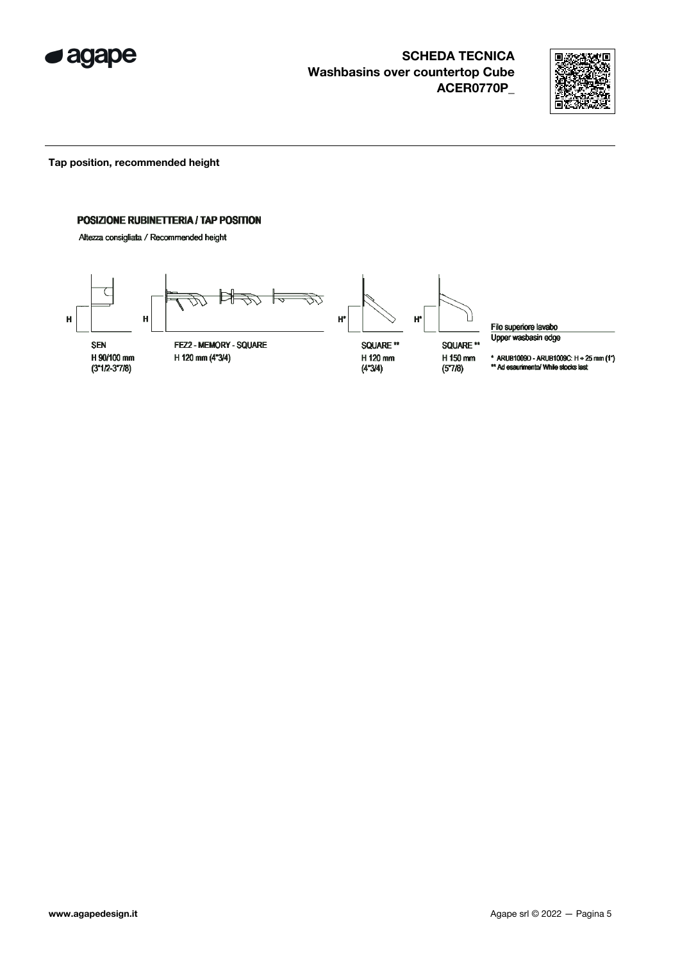



Tap position, recommended height

### POSIZIONE RUBINETTERIA / TAP POSITION

Altezza consigliata / Recommended height



Filo superiore lavabo Upper wasbasin edge

\* ARUB1009D - ARUB1009C:  $H + 25$  mm  $(1")$ <br>\*\* Ad esaurimento/ While stocks last